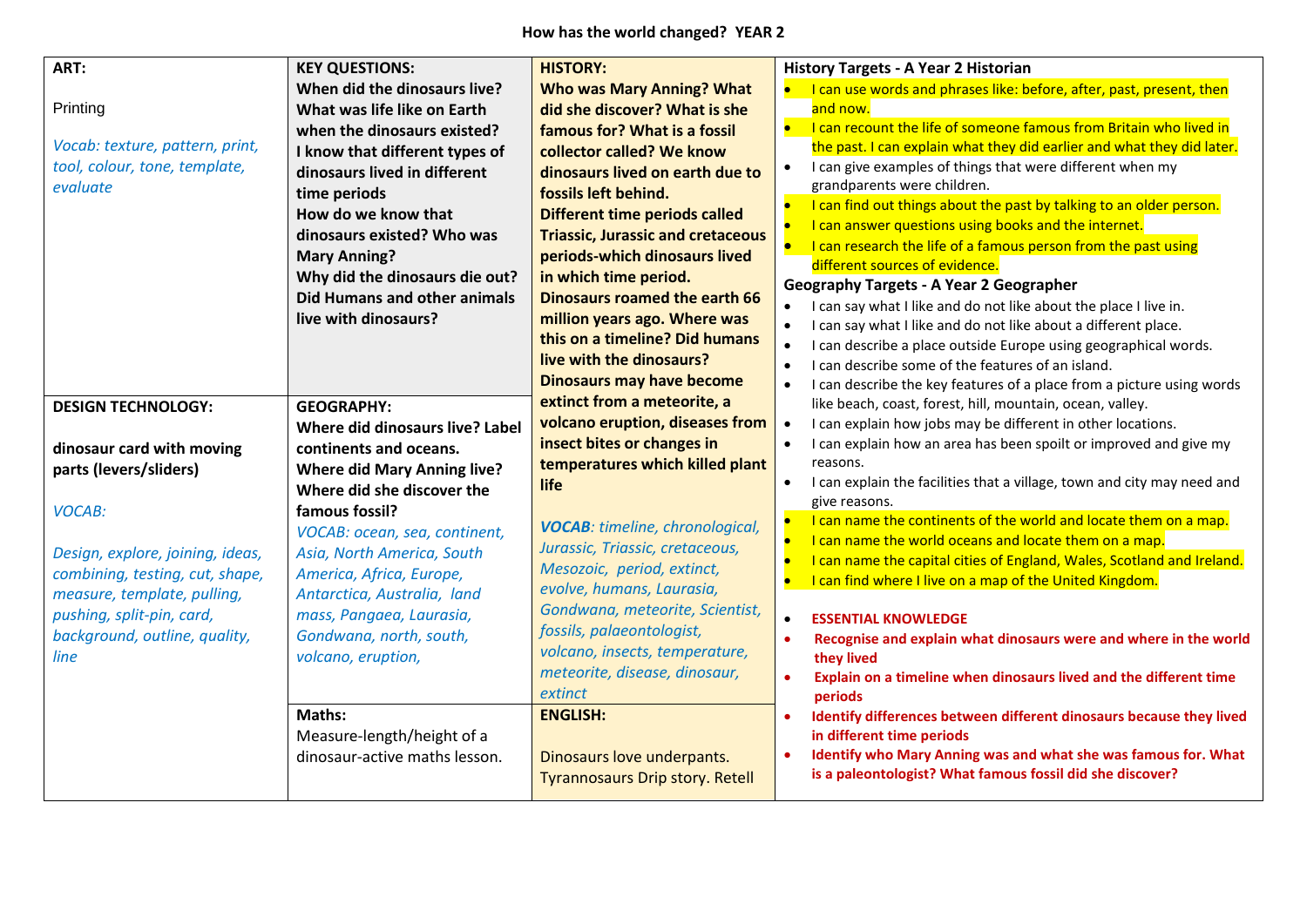**How has the world changed? YEAR 2**

| ART:<br>Printing<br>Vocab: texture, pattern, print,<br>tool, colour, tone, template,<br>evaluate                                                                                                                                                                              | <b>KEY QUESTIONS:</b><br>When did the dinosaurs live?<br>What was life like on Earth<br>when the dinosaurs existed?<br>I know that different types of<br>dinosaurs lived in different<br>time periods<br>How do we know that<br>dinosaurs existed? Who was<br><b>Mary Anning?</b><br>Why did the dinosaurs die out?<br>Did Humans and other animals<br>live with dinosaurs?           | <b>HISTORY:</b><br><b>Who was Mary Anning? What</b><br>did she discover? What is she<br>famous for? What is a fossil<br>collector called? We know<br>dinosaurs lived on earth due to<br>fossils left behind.<br><b>Different time periods called</b><br><b>Triassic, Jurassic and cretaceous</b><br>periods-which dinosaurs lived<br>in which time period.<br><b>Dinosaurs roamed the earth 66</b><br>million years ago. Where was<br>this on a timeline? Did humans<br>live with the dinosaurs?<br><b>Dinosaurs may have become</b> | <b>History Targets - A Year 2 Historian</b><br>I can use words and phrases like: before, after, past, present, then<br>and now.<br>• I can recount the life of someone famous from Britain who lived in<br>the past. I can explain what they did earlier and what they did later.<br>I can give examples of things that were different when my<br>$\bullet$<br>grandparents were children.<br>I can find out things about the past by talking to an older person.<br>$\bullet$<br>I can answer questions using books and the internet.<br>I can research the life of a famous person from the past using<br>$\bullet$<br>different sources of evidence.<br><b>Geography Targets - A Year 2 Geographer</b><br>I can say what I like and do not like about the place I live in.<br>I can say what I like and do not like about a different place.<br>I can describe a place outside Europe using geographical words.<br>I can describe some of the features of an island.<br>I can describe the key features of a place from a picture using words |
|-------------------------------------------------------------------------------------------------------------------------------------------------------------------------------------------------------------------------------------------------------------------------------|---------------------------------------------------------------------------------------------------------------------------------------------------------------------------------------------------------------------------------------------------------------------------------------------------------------------------------------------------------------------------------------|--------------------------------------------------------------------------------------------------------------------------------------------------------------------------------------------------------------------------------------------------------------------------------------------------------------------------------------------------------------------------------------------------------------------------------------------------------------------------------------------------------------------------------------|--------------------------------------------------------------------------------------------------------------------------------------------------------------------------------------------------------------------------------------------------------------------------------------------------------------------------------------------------------------------------------------------------------------------------------------------------------------------------------------------------------------------------------------------------------------------------------------------------------------------------------------------------------------------------------------------------------------------------------------------------------------------------------------------------------------------------------------------------------------------------------------------------------------------------------------------------------------------------------------------------------------------------------------------------|
| <b>DESIGN TECHNOLOGY:</b><br>dinosaur card with moving<br>parts (levers/sliders)<br><b>VOCAB:</b><br>Design, explore, joining, ideas,<br>combining, testing, cut, shape,<br>measure, template, pulling,<br>pushing, split-pin, card,<br>background, outline, quality,<br>line | <b>GEOGRAPHY:</b><br>Where did dinosaurs live? Label<br>continents and oceans.<br><b>Where did Mary Anning live?</b><br>Where did she discover the<br>famous fossil?<br>VOCAB: ocean, sea, continent,<br>Asia, North America, South<br>America, Africa, Europe,<br>Antarctica, Australia, land<br>mass, Pangaea, Laurasia,<br>Gondwana, north, south,<br>volcano, eruption,<br>Maths: | extinct from a meteorite, a<br>volcano eruption, diseases from<br>insect bites or changes in<br>temperatures which killed plant<br>life<br><b>VOCAB:</b> timeline, chronological,<br>Jurassic, Triassic, cretaceous,<br>Mesozoic, period, extinct,<br>evolve, humans, Laurasia,<br>Gondwana, meteorite, Scientist,<br>fossils, palaeontologist,<br>volcano, insects, temperature,<br>meteorite, disease, dinosaur,<br>extinct<br><b>ENGLISH:</b>                                                                                     | like beach, coast, forest, hill, mountain, ocean, valley.<br>I can explain how jobs may be different in other locations.<br>$\bullet$<br>I can explain how an area has been spoilt or improved and give my<br>$\bullet$<br>reasons.<br>I can explain the facilities that a village, town and city may need and<br>$\bullet$<br>give reasons.<br>I can name the continents of the world and locate them on a map.<br>$\bullet$<br>I can name the world oceans and locate them on a map.<br>I can name the capital cities of England, Wales, Scotland and Ireland.<br>I can find where I live on a map of the United Kingdom.<br><b>ESSENTIAL KNOWLEDGE</b><br>$\bullet$<br>Recognise and explain what dinosaurs were and where in the world<br>they lived<br>Explain on a timeline when dinosaurs lived and the different time<br>$\bullet$<br>periods<br>Identify differences between different dinosaurs because they lived<br>in different time periods                                                                                        |
|                                                                                                                                                                                                                                                                               | Measure-length/height of a<br>dinosaur-active maths lesson.                                                                                                                                                                                                                                                                                                                           | Dinosaurs love underpants.<br><b>Tyrannosaurs Drip story. Retell</b>                                                                                                                                                                                                                                                                                                                                                                                                                                                                 | Identify who Mary Anning was and what she was famous for. What<br>is a paleontologist? What famous fossil did she discover?                                                                                                                                                                                                                                                                                                                                                                                                                                                                                                                                                                                                                                                                                                                                                                                                                                                                                                                      |